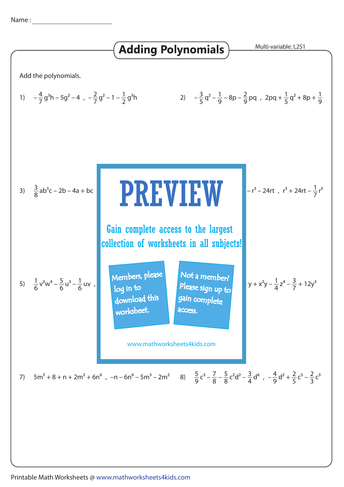